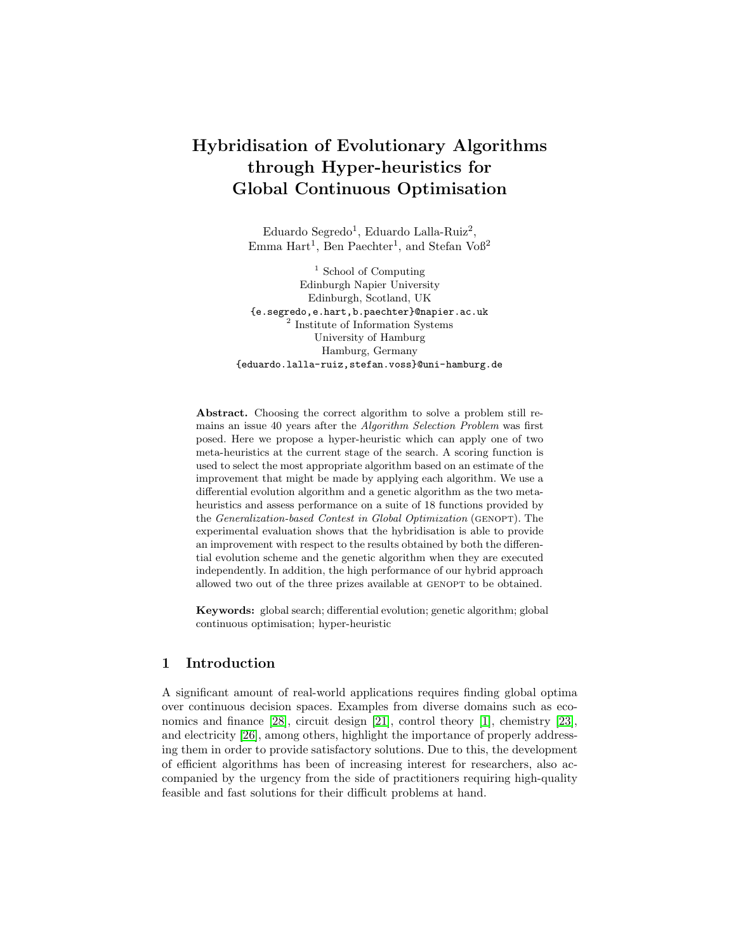# Hybridisation of Evolutionary Algorithms through Hyper-heuristics for Global Continuous Optimisation

Eduardo Segredo<sup>1</sup>, Eduardo Lalla-Ruiz<sup>2</sup>, Emma Hart<sup>1</sup>, Ben Paechter<sup>1</sup>, and Stefan Voß<sup>2</sup>

<sup>1</sup> School of Computing Edinburgh Napier University Edinburgh, Scotland, UK {e.segredo,e.hart,b.paechter}@napier.ac.uk 2 Institute of Information Systems University of Hamburg Hamburg, Germany {eduardo.lalla-ruiz,stefan.voss}@uni-hamburg.de

Abstract. Choosing the correct algorithm to solve a problem still remains an issue 40 years after the Algorithm Selection Problem was first posed. Here we propose a hyper-heuristic which can apply one of two meta-heuristics at the current stage of the search. A scoring function is used to select the most appropriate algorithm based on an estimate of the improvement that might be made by applying each algorithm. We use a differential evolution algorithm and a genetic algorithm as the two metaheuristics and assess performance on a suite of 18 functions provided by the *Generalization-based Contest in Global Optimization* (GENOPT). The experimental evaluation shows that the hybridisation is able to provide an improvement with respect to the results obtained by both the differential evolution scheme and the genetic algorithm when they are executed independently. In addition, the high performance of our hybrid approach allowed two out of the three prizes available at GENOPT to be obtained.

Keywords: global search; differential evolution; genetic algorithm; global continuous optimisation; hyper-heuristic

## 1 Introduction

A significant amount of real-world applications requires finding global optima over continuous decision spaces. Examples from diverse domains such as eco-nomics and finance [\[28\]](#page-9-0), circuit design [\[21\]](#page-9-1), control theory [\[1\]](#page-8-0), chemistry [\[23\]](#page-9-2), and electricity [\[26\]](#page-9-3), among others, highlight the importance of properly addressing them in order to provide satisfactory solutions. Due to this, the development of efficient algorithms has been of increasing interest for researchers, also accompanied by the urgency from the side of practitioners requiring high-quality feasible and fast solutions for their difficult problems at hand.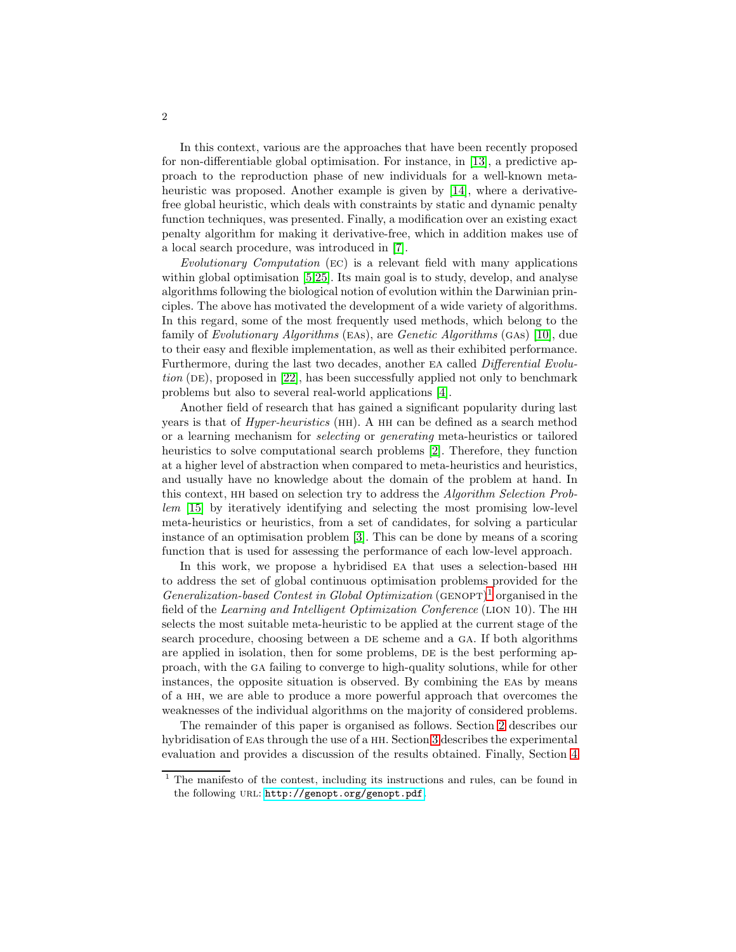In this context, various are the approaches that have been recently proposed for non-differentiable global optimisation. For instance, in [\[13\]](#page-9-4), a predictive approach to the reproduction phase of new individuals for a well-known metaheuristic was proposed. Another example is given by [\[14\]](#page-9-5), where a derivativefree global heuristic, which deals with constraints by static and dynamic penalty function techniques, was presented. Finally, a modification over an existing exact penalty algorithm for making it derivative-free, which in addition makes use of a local search procedure, was introduced in [\[7\]](#page-8-1).

Evolutionary Computation (ec) is a relevant field with many applications within global optimisation [\[5,](#page-8-2)[25\]](#page-9-6). Its main goal is to study, develop, and analyse algorithms following the biological notion of evolution within the Darwinian principles. The above has motivated the development of a wide variety of algorithms. In this regard, some of the most frequently used methods, which belong to the family of Evolutionary Algorithms (eas), are Genetic Algorithms (gas) [\[10\]](#page-8-3), due to their easy and flexible implementation, as well as their exhibited performance. Furthermore, during the last two decades, another EA called *Differential Evolu-*tion (DE), proposed in [\[22\]](#page-9-7), has been successfully applied not only to benchmark problems but also to several real-world applications [\[4\]](#page-8-4).

Another field of research that has gained a significant popularity during last years is that of Hyper-heuristics (hh). A hh can be defined as a search method or a learning mechanism for selecting or generating meta-heuristics or tailored heuristics to solve computational search problems [\[2\]](#page-8-5). Therefore, they function at a higher level of abstraction when compared to meta-heuristics and heuristics, and usually have no knowledge about the domain of the problem at hand. In this context, hh based on selection try to address the Algorithm Selection Problem [\[15\]](#page-9-8) by iteratively identifying and selecting the most promising low-level meta-heuristics or heuristics, from a set of candidates, for solving a particular instance of an optimisation problem [\[3\]](#page-8-6). This can be done by means of a scoring function that is used for assessing the performance of each low-level approach.

In this work, we propose a hybridised ea that uses a selection-based hh to address the set of global continuous optimisation problems provided for the Generalization-based Contest in Global Optimization  $(\text{genoPT})^1$  $(\text{genoPT})^1$  organised in the field of the Learning and Intelligent Optimization Conference (LION 10). The HH selects the most suitable meta-heuristic to be applied at the current stage of the search procedure, choosing between a DE scheme and a GA. If both algorithms are applied in isolation, then for some problems, DE is the best performing approach, with the ga failing to converge to high-quality solutions, while for other instances, the opposite situation is observed. By combining the eas by means of a hh, we are able to produce a more powerful approach that overcomes the weaknesses of the individual algorithms on the majority of considered problems.

The remainder of this paper is organised as follows. Section [2](#page-2-0) describes our hybridisation of EAs through the use of a HH. Section [3](#page-5-0) describes the experimental evaluation and provides a discussion of the results obtained. Finally, Section [4](#page-7-0)

<span id="page-1-0"></span><sup>&</sup>lt;sup>1</sup> The manifesto of the contest, including its instructions and rules, can be found in the following URL: <http://genopt.org/genopt.pdf>.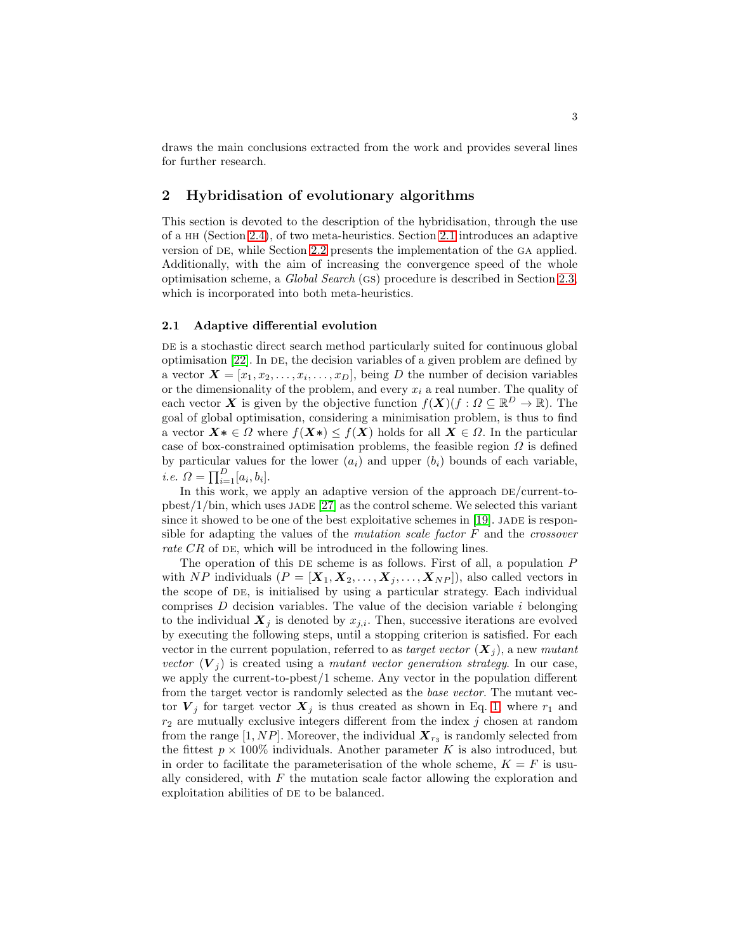draws the main conclusions extracted from the work and provides several lines for further research.

# <span id="page-2-0"></span>2 Hybridisation of evolutionary algorithms

This section is devoted to the description of the hybridisation, through the use of a hh (Section [2.4\)](#page-4-0), of two meta-heuristics. Section [2.1](#page-2-1) introduces an adaptive version of de, while Section [2.2](#page-3-0) presents the implementation of the ga applied. Additionally, with the aim of increasing the convergence speed of the whole optimisation scheme, a Global Search (gs) procedure is described in Section [2.3,](#page-4-1) which is incorporated into both meta-heuristics.

## <span id="page-2-1"></span>2.1 Adaptive differential evolution

DE is a stochastic direct search method particularly suited for continuous global optimisation [\[22\]](#page-9-7). In DE, the decision variables of a given problem are defined by a vector  $\boldsymbol{X} = [x_1, x_2, \dots, x_i, \dots, x_D]$ , being D the number of decision variables or the dimensionality of the problem, and every  $x_i$  a real number. The quality of each vector **X** is given by the objective function  $f(\mathbf{X})(f: \Omega \subseteq \mathbb{R}^D \to \mathbb{R})$ . The goal of global optimisation, considering a minimisation problem, is thus to find a vector  $X^* \in \Omega$  where  $f(X^*) \leq f(X)$  holds for all  $X \in \Omega$ . In the particular case of box-constrained optimisation problems, the feasible region  $\Omega$  is defined by particular values for the lower  $(a_i)$  and upper  $(b_i)$  bounds of each variable, *i.e.*  $\Omega = \prod_{i=1}^{D} [a_i, b_i].$ 

In this work, we apply an adaptive version of the approach  $DE/current-to$  $pbest/1/bin$ , which uses JADE [\[27\]](#page-9-9) as the control scheme. We selected this variant since it showed to be one of the best exploitative schemes in  $[19]$ . JADE is responsible for adapting the values of the *mutation scale factor*  $F$  and the *crossover* rate  $CR$  of DE, which will be introduced in the following lines.

The operation of this DE scheme is as follows. First of all, a population  $P$ with NP individuals  $(P = [\mathbf{X}_1, \mathbf{X}_2, \dots, \mathbf{X}_j, \dots, \mathbf{X}_{NP}]$ , also called vectors in the scope of DE, is initialised by using a particular strategy. Each individual comprises  $D$  decision variables. The value of the decision variable  $i$  belonging to the individual  $X_j$  is denoted by  $x_{j,i}$ . Then, successive iterations are evolved by executing the following steps, until a stopping criterion is satisfied. For each vector in the current population, referred to as *target vector*  $(\mathbf{X}_i)$ , a new mutant vector  $(V_j)$  is created using a mutant vector generation strategy. In our case, we apply the current-to-pbest/1 scheme. Any vector in the population different from the target vector is randomly selected as the base vector. The mutant vector  $V_j$  for target vector  $X_j$  is thus created as shown in Eq. [1,](#page-3-1) where  $r_1$  and  $r_2$  are mutually exclusive integers different from the index j chosen at random from the range [1, NP]. Moreover, the individual  $\boldsymbol{X}_{r_3}$  is randomly selected from the fittest  $p \times 100\%$  individuals. Another parameter K is also introduced, but in order to facilitate the parameterisation of the whole scheme,  $K = F$  is usually considered, with  $F$  the mutation scale factor allowing the exploration and exploitation abilities of DE to be balanced.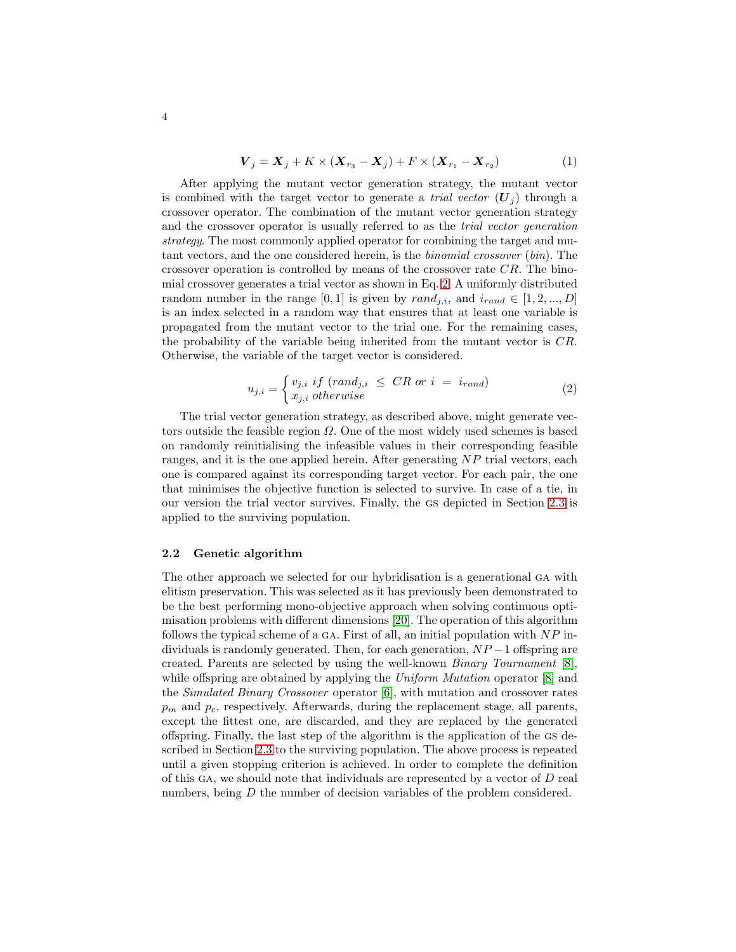<span id="page-3-1"></span>
$$
V_j = X_j + K \times (X_{r_3} - X_j) + F \times (X_{r_1} - X_{r_2})
$$
 (1)

After applying the mutant vector generation strategy, the mutant vector is combined with the target vector to generate a *trial vector*  $(U_i)$  through a crossover operator. The combination of the mutant vector generation strategy and the crossover operator is usually referred to as the trial vector generation strategy. The most commonly applied operator for combining the target and mutant vectors, and the one considered herein, is the binomial crossover (bin). The crossover operation is controlled by means of the crossover rate  $CR$ . The binomial crossover generates a trial vector as shown in Eq. [2.](#page-3-2) A uniformly distributed random number in the range [0, 1] is given by  $rand_{j,i}$ , and  $i_{rand} \in [1, 2, ..., D]$ is an index selected in a random way that ensures that at least one variable is propagated from the mutant vector to the trial one. For the remaining cases, the probability of the variable being inherited from the mutant vector is CR. Otherwise, the variable of the target vector is considered.

<span id="page-3-2"></span>
$$
u_{j,i} = \begin{cases} v_{j,i} \text{ if } (rand_{j,i} \leq CR \text{ or } i = i_{rand}) \\ x_{j,i} \text{ otherwise} \end{cases}
$$
 (2)

The trial vector generation strategy, as described above, might generate vectors outside the feasible region  $\Omega$ . One of the most widely used schemes is based on randomly reinitialising the infeasible values in their corresponding feasible ranges, and it is the one applied herein. After generating NP trial vectors, each one is compared against its corresponding target vector. For each pair, the one that minimises the objective function is selected to survive. In case of a tie, in our version the trial vector survives. Finally, the gs depicted in Section [2.3](#page-4-1) is applied to the surviving population.

## <span id="page-3-0"></span>2.2 Genetic algorithm

The other approach we selected for our hybridisation is a generational ga with elitism preservation. This was selected as it has previously been demonstrated to be the best performing mono-objective approach when solving continuous optimisation problems with different dimensions [\[20\]](#page-9-11). The operation of this algorithm follows the typical scheme of a GA. First of all, an initial population with  $NP$  individuals is randomly generated. Then, for each generation,  $NP-1$  offspring are created. Parents are selected by using the well-known Binary Tournament [\[8\]](#page-8-7), while offspring are obtained by applying the Uniform Mutation operator [\[8\]](#page-8-7) and the Simulated Binary Crossover operator [\[6\]](#page-8-8), with mutation and crossover rates  $p_m$  and  $p_c$ , respectively. Afterwards, during the replacement stage, all parents, except the fittest one, are discarded, and they are replaced by the generated offspring. Finally, the last step of the algorithm is the application of the gs described in Section [2.3](#page-4-1) to the surviving population. The above process is repeated until a given stopping criterion is achieved. In order to complete the definition of this GA, we should note that individuals are represented by a vector of  $D$  real numbers, being D the number of decision variables of the problem considered.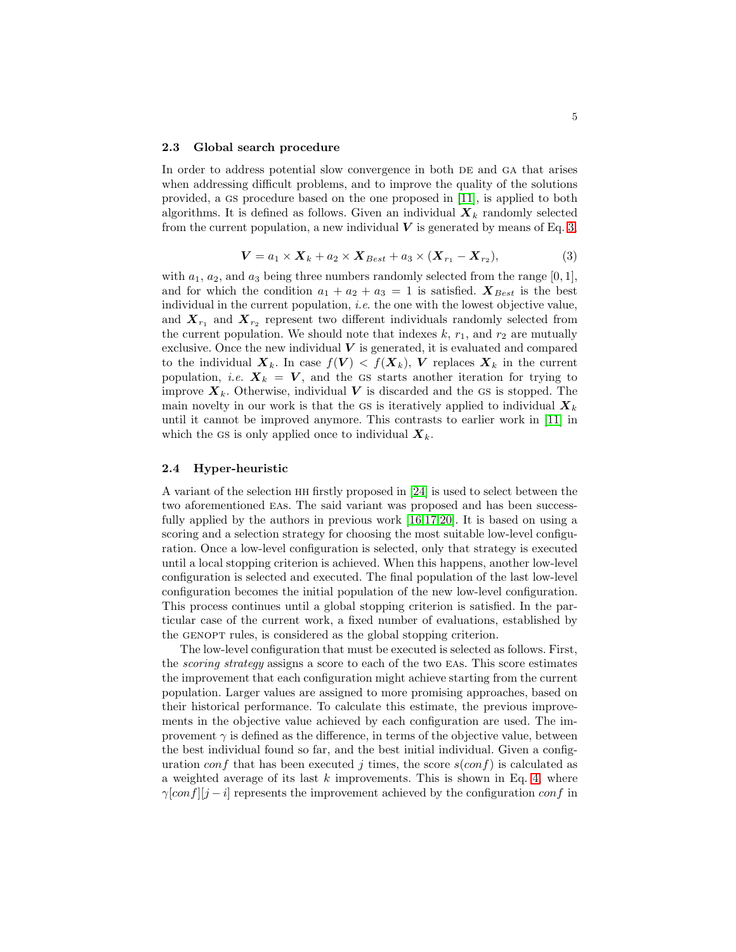#### <span id="page-4-1"></span>2.3 Global search procedure

In order to address potential slow convergence in both DE and GA that arises when addressing difficult problems, and to improve the quality of the solutions provided, a gs procedure based on the one proposed in [\[11\]](#page-8-9), is applied to both algorithms. It is defined as follows. Given an individual  $X_k$  randomly selected from the current population, a new individual  $V$  is generated by means of Eq. [3,](#page-4-2)

<span id="page-4-2"></span>
$$
\mathbf{V} = a_1 \times \mathbf{X}_k + a_2 \times \mathbf{X}_{Best} + a_3 \times (\mathbf{X}_{r_1} - \mathbf{X}_{r_2}), \tag{3}
$$

with  $a_1, a_2$ , and  $a_3$  being three numbers randomly selected from the range  $[0, 1]$ , and for which the condition  $a_1 + a_2 + a_3 = 1$  is satisfied.  $\boldsymbol{X}_{Best}$  is the best individual in the current population, i.e. the one with the lowest objective value, and  $\mathbf{X}_{r_1}$  and  $\mathbf{X}_{r_2}$  represent two different individuals randomly selected from the current population. We should note that indexes  $k$ ,  $r_1$ , and  $r_2$  are mutually exclusive. Once the new individual  $V$  is generated, it is evaluated and compared to the individual  $\mathbf{X}_k$ . In case  $f(\mathbf{V}) < f(\mathbf{X}_k)$ , V replaces  $\mathbf{X}_k$  in the current population, *i.e.*  $X_k = V$ , and the GS starts another iteration for trying to improve  $X_k$ . Otherwise, individual V is discarded and the GS is stopped. The main novelty in our work is that the GS is iteratively applied to individual  $\mathbf{X}_k$ until it cannot be improved anymore. This contrasts to earlier work in [\[11\]](#page-8-9) in which the GS is only applied once to individual  $\boldsymbol{X}_k$ .

## <span id="page-4-0"></span>2.4 Hyper-heuristic

A variant of the selection hh firstly proposed in [\[24\]](#page-9-12) is used to select between the two aforementioned eas. The said variant was proposed and has been successfully applied by the authors in previous work [\[16](#page-9-13)[,17](#page-9-14)[,20\]](#page-9-11). It is based on using a scoring and a selection strategy for choosing the most suitable low-level configuration. Once a low-level configuration is selected, only that strategy is executed until a local stopping criterion is achieved. When this happens, another low-level configuration is selected and executed. The final population of the last low-level configuration becomes the initial population of the new low-level configuration. This process continues until a global stopping criterion is satisfied. In the particular case of the current work, a fixed number of evaluations, established by the GENOPT rules, is considered as the global stopping criterion.

The low-level configuration that must be executed is selected as follows. First, the *scoring strategy* assigns a score to each of the two EAs. This score estimates the improvement that each configuration might achieve starting from the current population. Larger values are assigned to more promising approaches, based on their historical performance. To calculate this estimate, the previous improvements in the objective value achieved by each configuration are used. The improvement  $\gamma$  is defined as the difference, in terms of the objective value, between the best individual found so far, and the best initial individual. Given a configuration conf that has been executed j times, the score  $s($ conf) is calculated as a weighted average of its last  $k$  improvements. This is shown in Eq. [4,](#page-5-1) where  $\gamma[conf][j-i]$  represents the improvement achieved by the configuration conf in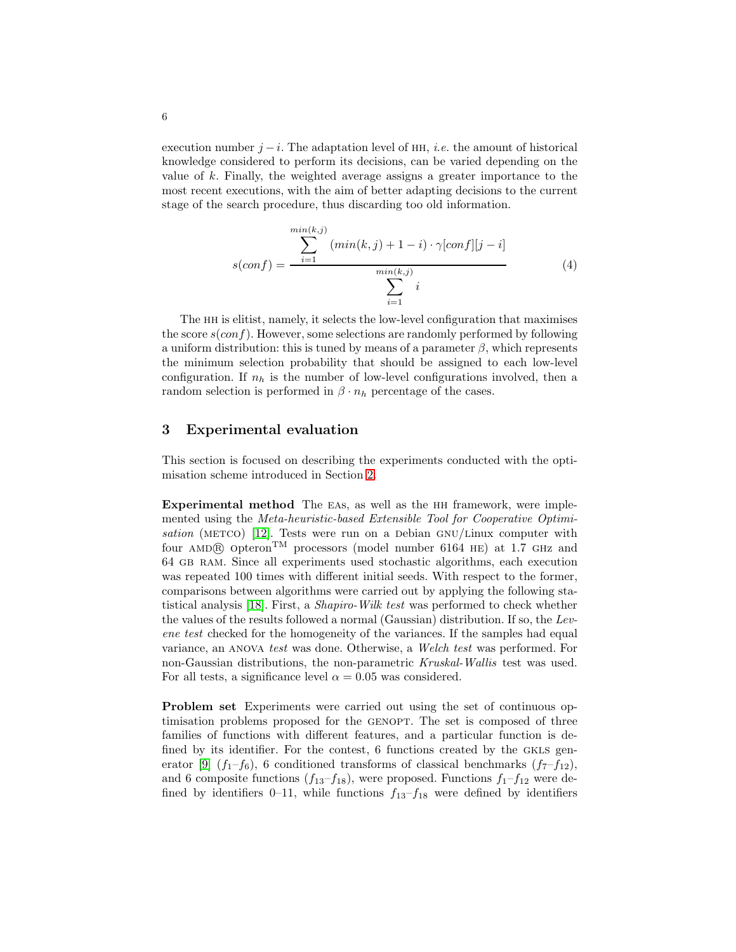execution number  $j - i$ . The adaptation level of HH, i.e. the amount of historical knowledge considered to perform its decisions, can be varied depending on the value of  $k$ . Finally, the weighted average assigns a greater importance to the most recent executions, with the aim of better adapting decisions to the current stage of the search procedure, thus discarding too old information.

<span id="page-5-1"></span>
$$
s(conf) = \frac{\sum_{i=1}^{\min(k,j)} (\min(k,j) + 1 - i) \cdot \gamma[conf][j - i]}{\sum_{i=1}^{\min(k,j)} i}
$$
(4)

The hh is elitist, namely, it selects the low-level configuration that maximises the score  $s(conf)$ . However, some selections are randomly performed by following a uniform distribution: this is tuned by means of a parameter  $\beta$ , which represents the minimum selection probability that should be assigned to each low-level configuration. If  $n_h$  is the number of low-level configurations involved, then a random selection is performed in  $\beta \cdot n_h$  percentage of the cases.

## <span id="page-5-0"></span>3 Experimental evaluation

This section is focused on describing the experiments conducted with the optimisation scheme introduced in Section [2.](#page-2-0)

Experimental method The eas, as well as the hh framework, were implemented using the Meta-heuristic-based Extensible Tool for Cooperative Optimi-sation (METCO) [\[12\]](#page-9-15). Tests were run on a Debian GNU/Linux computer with four AMD® Opteron<sup>TM</sup> processors (model number 6164 HE) at 1.7 GHz and 64 gb ram. Since all experiments used stochastic algorithms, each execution was repeated 100 times with different initial seeds. With respect to the former, comparisons between algorithms were carried out by applying the following statistical analysis [\[18\]](#page-9-16). First, a Shapiro-Wilk test was performed to check whether the values of the results followed a normal (Gaussian) distribution. If so, the Levene test checked for the homogeneity of the variances. If the samples had equal variance, an anova test was done. Otherwise, a Welch test was performed. For non-Gaussian distributions, the non-parametric Kruskal-Wallis test was used. For all tests, a significance level  $\alpha = 0.05$  was considered.

Problem set Experiments were carried out using the set of continuous optimisation problems proposed for the GENOPT. The set is composed of three families of functions with different features, and a particular function is defined by its identifier. For the contest, 6 functions created by the GKLS gen-erator [\[9\]](#page-8-10)  $(f_1-f_6)$ , 6 conditioned transforms of classical benchmarks  $(f_7-f_{12})$ , and 6 composite functions  $(f_{13}-f_{18})$ , were proposed. Functions  $f_1-f_{12}$  were defined by identifiers 0–11, while functions  $f_{13}-f_{18}$  were defined by identifiers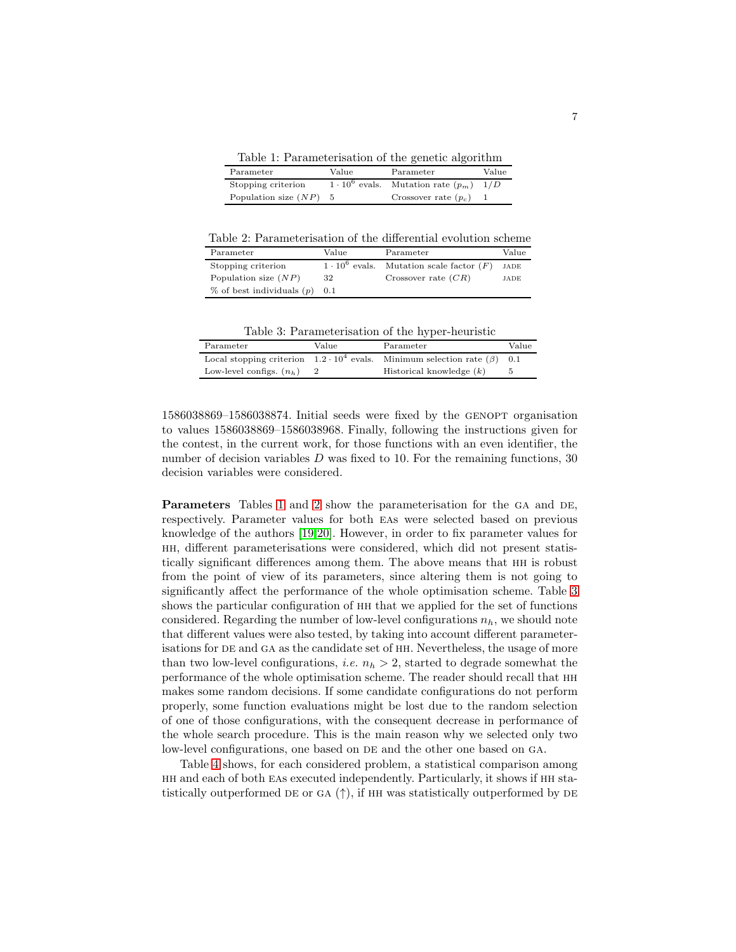<span id="page-6-0"></span>Table 1: Parameterisation of the genetic algorithm

| Parameter                | Value | Parameter                                   | Value |
|--------------------------|-------|---------------------------------------------|-------|
| Stopping criterion       |       | $1 \cdot 10^6$ evals. Mutation rate $(p_m)$ | 1/D   |
| Population size $(NP)$ 5 |       | Crossover rate $(p_c)$                      |       |

<span id="page-6-1"></span>Table 2: Parameterisation of the differential evolution scheme

| Parameter                          | Value                 | Parameter                   | Value |
|------------------------------------|-----------------------|-----------------------------|-------|
| Stopping criterion                 | $1 \cdot 10^6$ evals. | Mutation scale factor $(F)$ | JADE  |
| Population size $(NP)$             | 32                    | Crossover rate $(CR)$       | JADE  |
| $\%$ of best individuals $(p)$ 0.1 |                       |                             |       |

Table 3: Parameterisation of the hyper-heuristic

<span id="page-6-2"></span>

| Parameter                  | Value | Parameter                                                                               | Value |
|----------------------------|-------|-----------------------------------------------------------------------------------------|-------|
|                            |       | Local stopping criterion $1.2 \cdot 10^4$ evals. Minimum selection rate ( $\beta$ ) 0.1 |       |
| Low-level configs. $(n_h)$ |       | Historical knowledge $(k)$                                                              | 5     |

1586038869–1586038874. Initial seeds were fixed by the genopt organisation to values 1586038869–1586038968. Finally, following the instructions given for the contest, in the current work, for those functions with an even identifier, the number of decision variables  $D$  was fixed to 10. For the remaining functions, 30 decision variables were considered.

Parameters Tables [1](#page-6-0) and [2](#page-6-1) show the parameterisation for the GA and DE, respectively. Parameter values for both eas were selected based on previous knowledge of the authors [\[19,](#page-9-10)[20\]](#page-9-11). However, in order to fix parameter values for hh, different parameterisations were considered, which did not present statistically significant differences among them. The above means that hh is robust from the point of view of its parameters, since altering them is not going to significantly affect the performance of the whole optimisation scheme. Table [3](#page-6-2) shows the particular configuration of hh that we applied for the set of functions considered. Regarding the number of low-level configurations  $n_h$ , we should note that different values were also tested, by taking into account different parameterisations for DE and GA as the candidate set of HH. Nevertheless, the usage of more than two low-level configurations, *i.e.*  $n_h > 2$ , started to degrade somewhat the performance of the whole optimisation scheme. The reader should recall that hh makes some random decisions. If some candidate configurations do not perform properly, some function evaluations might be lost due to the random selection of one of those configurations, with the consequent decrease in performance of the whole search procedure. This is the main reason why we selected only two low-level configurations, one based on DE and the other one based on GA.

Table [4](#page-7-1) shows, for each considered problem, a statistical comparison among hh and each of both eas executed independently. Particularly, it shows if hh statistically outperformed DE or GA  $(\uparrow)$ , if HH was statistically outperformed by DE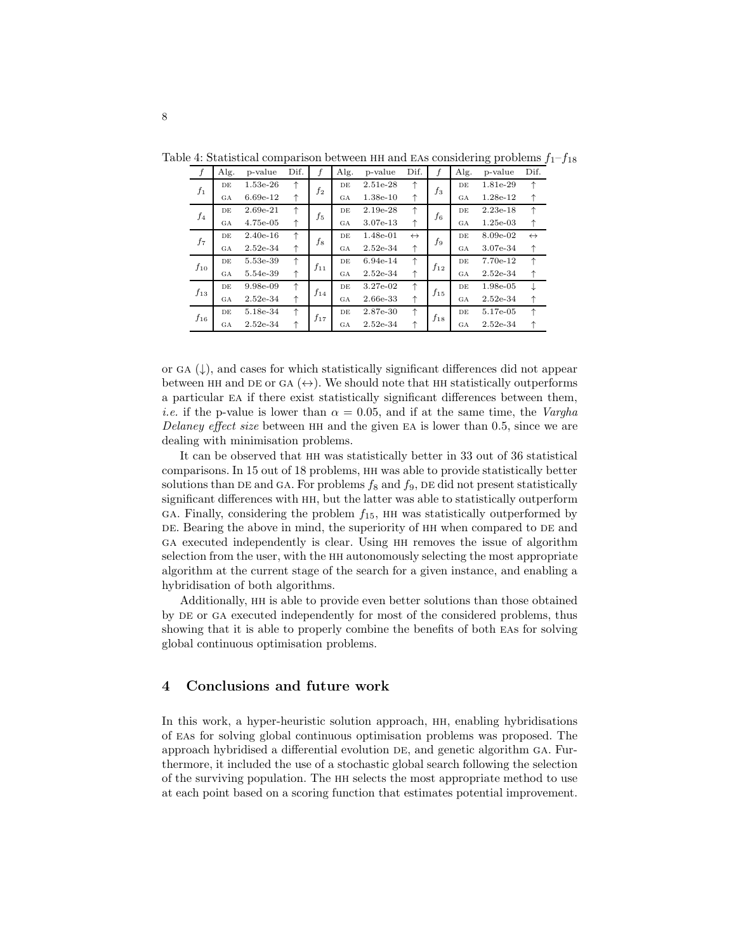| f        | Alg.      | p-value    | Dif.       | f              | Alg.      | p-value    | Dif.              | f        | Alg.      | p-value    | Dif.              |
|----------|-----------|------------|------------|----------------|-----------|------------|-------------------|----------|-----------|------------|-------------------|
| $f_1$    | DE        | $1.53e-26$ | ↑          | f <sub>2</sub> | DE        | 2.51e-28   | ↑                 | $f_3$    | DE        | 1.81e-29   | ↑                 |
|          | <b>GA</b> | $6.69e-12$ | ↑          |                | <b>GA</b> | $1.38e-10$ | ↑                 |          | <b>GA</b> | 1.28e-12   | ↑                 |
| $f_4$    | DE        | 2.69e-21   | $\uparrow$ | $f_5$          | DE        | 2.19e-28   | ↑                 | $f_6$    | DE        | $2.23e-18$ | ↑                 |
|          | <b>GA</b> | 4.75e-05   | ↑          |                | <b>GA</b> | 3.07e-13   | 个                 |          | <b>GA</b> | $1.25e-03$ | ↑                 |
| $f_7$    | DE        | $2.40e-16$ | ↑          | $f_8$          | DE        | 1.48e-01   | $\leftrightarrow$ | $f_9$    | DE        | 8.09e-02   | $\leftrightarrow$ |
|          | <b>GA</b> | $2.52e-34$ | ↑          |                | GA        | $2.52e-34$ | ↑                 |          | <b>GA</b> | 3.07e-34   | ↑                 |
|          | DE        | 5.53e-39   | ↑          | $f_{11}$       | DE        | 6.94e-14   | 个                 | $f_{12}$ | DE        | 7.70e-12   | ↑                 |
| $f_{10}$ | <b>GA</b> | 5.54e-39   | ↑          |                | <b>GA</b> | $2.52e-34$ | ↑                 |          | <b>GA</b> | 2.52e-34   | ↑                 |
| $f_{13}$ | DE        | 9.98e-09   | ↑          | $f_{14}$       | DE        | $3.27e-02$ | ↑                 | $f_{15}$ | DE        | 1.98e-05   | ↓                 |
|          | <b>GA</b> | $2.52e-34$ | ↑          |                | <b>GA</b> | 2.66e-33   | ↑                 |          | <b>GA</b> | 2.52e-34   | ↑                 |
| $f_{16}$ | DE        | 5.18e-34   | $\uparrow$ | $f_{17}$       | DE        | 2.87e-30   | ↑                 | $f_{18}$ | DE        | 5.17e-05   | ↑                 |
|          | <b>GA</b> | 2.52e-34   | ↑          |                | <b>GA</b> | $2.52e-34$ |                   |          | <b>GA</b> | $2.52e-34$ |                   |

<span id="page-7-1"></span>Table 4: Statistical comparison between HH and EAs considering problems  $f_1-f_{18}$ 

or GA  $(\downarrow)$ , and cases for which statistically significant differences did not appear between HH and DE or GA  $(\leftrightarrow)$ . We should note that HH statistically outperforms a particular ea if there exist statistically significant differences between them, *i.e.* if the p-value is lower than  $\alpha = 0.05$ , and if at the same time, the Vargha Delaney effect size between HH and the given EA is lower than 0.5, since we are dealing with minimisation problems.

It can be observed that hh was statistically better in 33 out of 36 statistical comparisons. In 15 out of 18 problems, hh was able to provide statistically better solutions than DE and GA. For problems  $f_8$  and  $f_9$ , DE did not present statistically significant differences with hh, but the latter was able to statistically outperform GA. Finally, considering the problem  $f_{15}$ , HH was statistically outperformed by DE. Bearing the above in mind, the superiority of HH when compared to DE and ga executed independently is clear. Using hh removes the issue of algorithm selection from the user, with the hh autonomously selecting the most appropriate algorithm at the current stage of the search for a given instance, and enabling a hybridisation of both algorithms.

Additionally, hh is able to provide even better solutions than those obtained by DE or GA executed independently for most of the considered problems, thus showing that it is able to properly combine the benefits of both eas for solving global continuous optimisation problems.

# <span id="page-7-0"></span>4 Conclusions and future work

In this work, a hyper-heuristic solution approach, hh, enabling hybridisations of eas for solving global continuous optimisation problems was proposed. The approach hybridised a differential evolution de, and genetic algorithm ga. Furthermore, it included the use of a stochastic global search following the selection of the surviving population. The hh selects the most appropriate method to use at each point based on a scoring function that estimates potential improvement.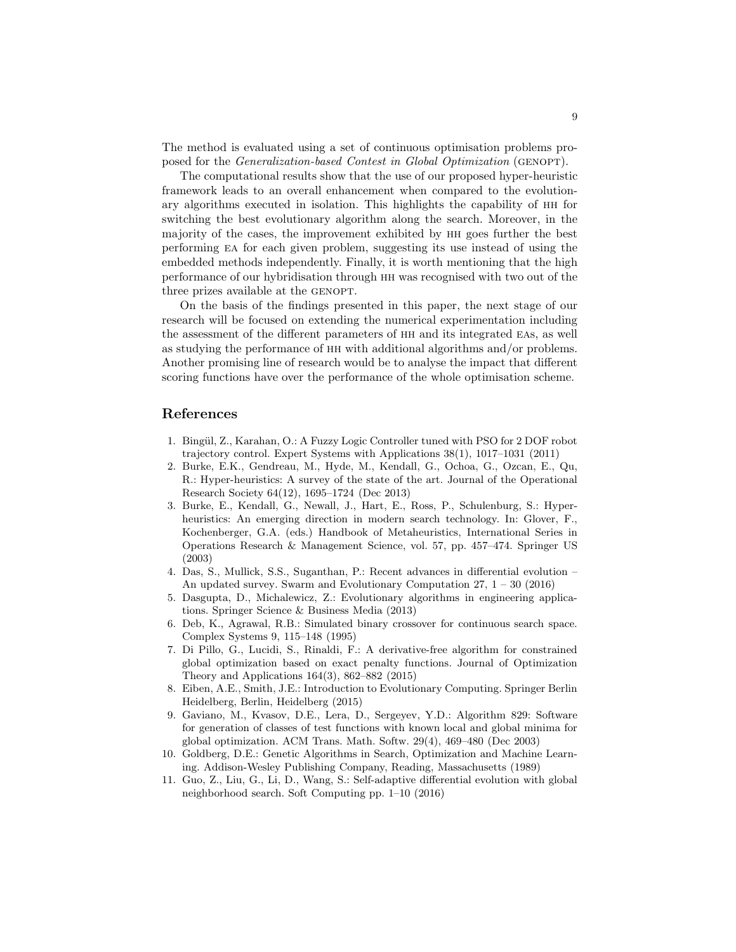The method is evaluated using a set of continuous optimisation problems proposed for the *Generalization-based Contest in Global Optimization* (GENOPT).

The computational results show that the use of our proposed hyper-heuristic framework leads to an overall enhancement when compared to the evolutionary algorithms executed in isolation. This highlights the capability of hh for switching the best evolutionary algorithm along the search. Moreover, in the majority of the cases, the improvement exhibited by hh goes further the best performing ea for each given problem, suggesting its use instead of using the embedded methods independently. Finally, it is worth mentioning that the high performance of our hybridisation through hh was recognised with two out of the three prizes available at the GENOPT.

On the basis of the findings presented in this paper, the next stage of our research will be focused on extending the numerical experimentation including the assessment of the different parameters of hh and its integrated eas, as well as studying the performance of hh with additional algorithms and/or problems. Another promising line of research would be to analyse the impact that different scoring functions have over the performance of the whole optimisation scheme.

## <span id="page-8-0"></span>References

- 1. Bingül, Z., Karahan, O.: A Fuzzy Logic Controller tuned with PSO for 2 DOF robot trajectory control. Expert Systems with Applications 38(1), 1017–1031 (2011)
- <span id="page-8-5"></span>2. Burke, E.K., Gendreau, M., Hyde, M., Kendall, G., Ochoa, G., Ozcan, E., Qu, R.: Hyper-heuristics: A survey of the state of the art. Journal of the Operational Research Society 64(12), 1695–1724 (Dec 2013)
- <span id="page-8-6"></span>3. Burke, E., Kendall, G., Newall, J., Hart, E., Ross, P., Schulenburg, S.: Hyperheuristics: An emerging direction in modern search technology. In: Glover, F., Kochenberger, G.A. (eds.) Handbook of Metaheuristics, International Series in Operations Research & Management Science, vol. 57, pp. 457–474. Springer US (2003)
- <span id="page-8-4"></span>4. Das, S., Mullick, S.S., Suganthan, P.: Recent advances in differential evolution – An updated survey. Swarm and Evolutionary Computation 27, 1 – 30 (2016)
- <span id="page-8-2"></span>5. Dasgupta, D., Michalewicz, Z.: Evolutionary algorithms in engineering applications. Springer Science & Business Media (2013)
- <span id="page-8-8"></span>6. Deb, K., Agrawal, R.B.: Simulated binary crossover for continuous search space. Complex Systems 9, 115–148 (1995)
- <span id="page-8-1"></span>7. Di Pillo, G., Lucidi, S., Rinaldi, F.: A derivative-free algorithm for constrained global optimization based on exact penalty functions. Journal of Optimization Theory and Applications 164(3), 862–882 (2015)
- <span id="page-8-7"></span>8. Eiben, A.E., Smith, J.E.: Introduction to Evolutionary Computing. Springer Berlin Heidelberg, Berlin, Heidelberg (2015)
- <span id="page-8-10"></span>9. Gaviano, M., Kvasov, D.E., Lera, D., Sergeyev, Y.D.: Algorithm 829: Software for generation of classes of test functions with known local and global minima for global optimization. ACM Trans. Math. Softw. 29(4), 469–480 (Dec 2003)
- <span id="page-8-3"></span>10. Goldberg, D.E.: Genetic Algorithms in Search, Optimization and Machine Learning. Addison-Wesley Publishing Company, Reading, Massachusetts (1989)
- <span id="page-8-9"></span>11. Guo, Z., Liu, G., Li, D., Wang, S.: Self-adaptive differential evolution with global neighborhood search. Soft Computing pp. 1–10 (2016)